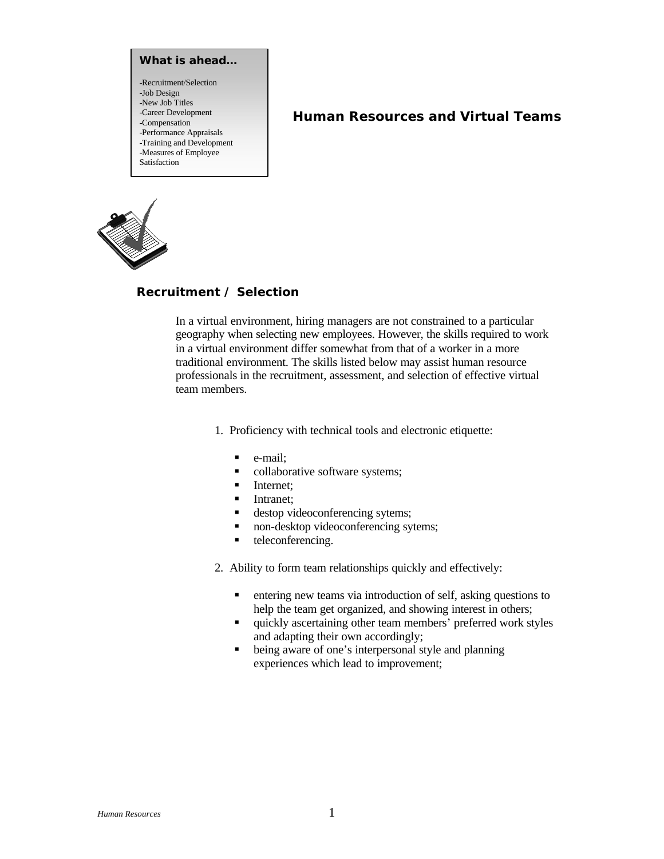**What is ahead…** -Recruitment/Selection -Job Design -New Job Titles -Career Development -Compensation -Performance Appraisals -Training and Development -Measures of Employee Satisfaction

# **Human Resources and Virtual Teams**



## **Recruitment / Selection**

In a virtual environment, hiring managers are not constrained to a particular geography when selecting new employees. However, the skills required to work in a virtual environment differ somewhat from that of a worker in a more traditional environment. The skills listed below may assist human resource professionals in the recruitment, assessment, and selection of effective virtual team members.

- 1. Proficiency with technical tools and electronic etiquette:
	- $\blacksquare$  e-mail:
	- collaborative software systems;
	- **Internet;**
	- **Intranet**;
	- **destop videoconferencing sytems;**
	- non-desktop videoconferencing sytems;
	- $\blacksquare$  teleconferencing.
- 2. Ability to form team relationships quickly and effectively:
	- $\blacksquare$  entering new teams via introduction of self, asking questions to help the team get organized, and showing interest in others;
	- $\blacksquare$  quickly ascertaining other team members' preferred work styles and adapting their own accordingly;
	- being aware of one's interpersonal style and planning experiences which lead to improvement;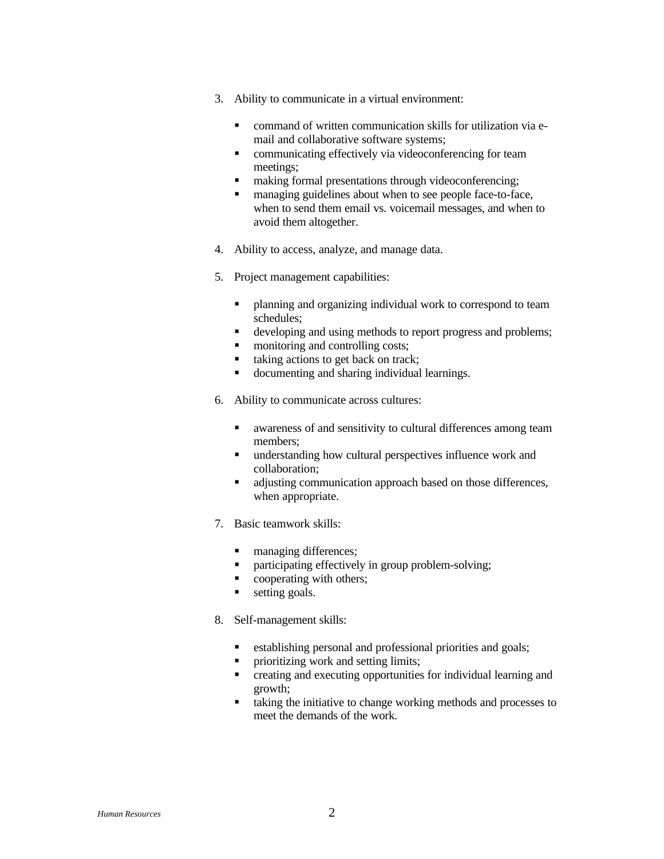- 3. Ability to communicate in a virtual environment:
	- **•** command of written communication skills for utilization via email and collaborative software systems;
	- communicating effectively via videoconferencing for team meetings;
	- making formal presentations through videoconferencing;
	- managing guidelines about when to see people face-to-face, when to send them email vs. voicemail messages, and when to avoid them altogether.
- 4. Ability to access, analyze, and manage data.
- 5. Project management capabilities:
	- planning and organizing individual work to correspond to team schedules;
	- **•** developing and using methods to report progress and problems;
	- monitoring and controlling costs;
	- taking actions to get back on track;
	- documenting and sharing individual learnings.
- 6. Ability to communicate across cultures:
	- $\blacksquare$  awareness of and sensitivity to cultural differences among team members;
	- $\blacksquare$  understanding how cultural perspectives influence work and collaboration;
	- $\blacksquare$  adjusting communication approach based on those differences, when appropriate.
- 7. Basic teamwork skills:
	- managing differences;
	- **•** participating effectively in group problem-solving;
	- cooperating with others;
	- setting goals.
- 8. Self-management skills:
	- **•** establishing personal and professional priorities and goals;
	- ß prioritizing work and setting limits;
	- creating and executing opportunities for individual learning and growth;
	- taking the initiative to change working methods and processes to meet the demands of the work.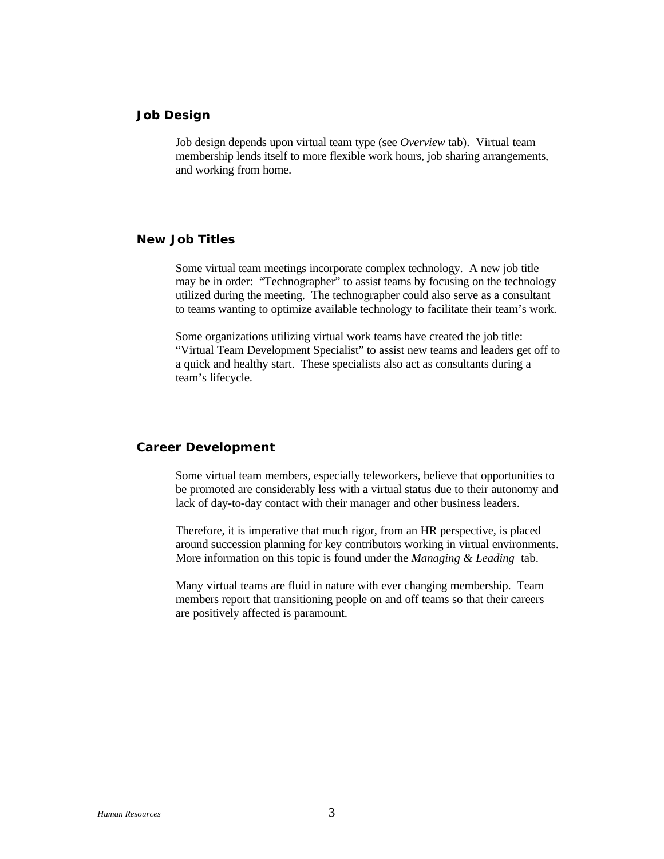### **Job Design**

Job design depends upon virtual team type (see *Overview* tab). Virtual team membership lends itself to more flexible work hours, job sharing arrangements, and working from home.

## **New Job Titles**

Some virtual team meetings incorporate complex technology. A new job title may be in order: "Technographer" to assist teams by focusing on the technology utilized during the meeting. The technographer could also serve as a consultant to teams wanting to optimize available technology to facilitate their team's work.

Some organizations utilizing virtual work teams have created the job title: "Virtual Team Development Specialist" to assist new teams and leaders get off to a quick and healthy start. These specialists also act as consultants during a team's lifecycle.

## **Career Development**

Some virtual team members, especially teleworkers, believe that opportunities to be promoted are considerably less with a virtual status due to their autonomy and lack of day-to-day contact with their manager and other business leaders.

Therefore, it is imperative that much rigor, from an HR perspective, is placed around succession planning for key contributors working in virtual environments. More information on this topic is found under the *Managing & Leading* tab.

Many virtual teams are fluid in nature with ever changing membership. Team members report that transitioning people on and off teams so that their careers are positively affected is paramount.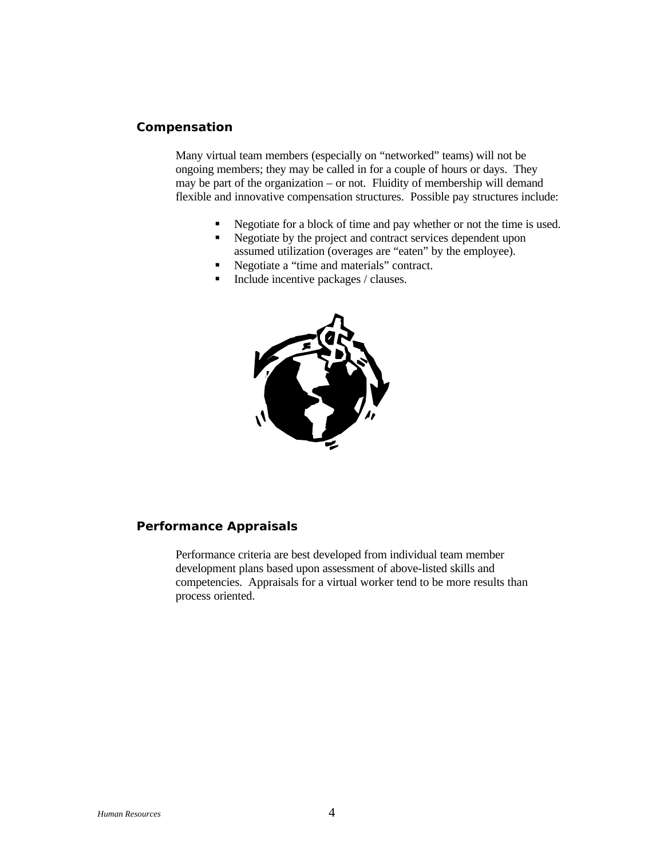#### **Compensation**

Many virtual team members (especially on "networked" teams) will not be ongoing members; they may be called in for a couple of hours or days. They may be part of the organization – or not. Fluidity of membership will demand flexible and innovative compensation structures. Possible pay structures include:

- Regotiate for a block of time and pay whether or not the time is used.
- Regotiate by the project and contract services dependent upon assumed utilization (overages are "eaten" by the employee).
- Regotiate a "time and materials" contract.
- Include incentive packages / clauses.



#### **Performance Appraisals**

Performance criteria are best developed from individual team member development plans based upon assessment of above-listed skills and competencies. Appraisals for a virtual worker tend to be more results than process oriented.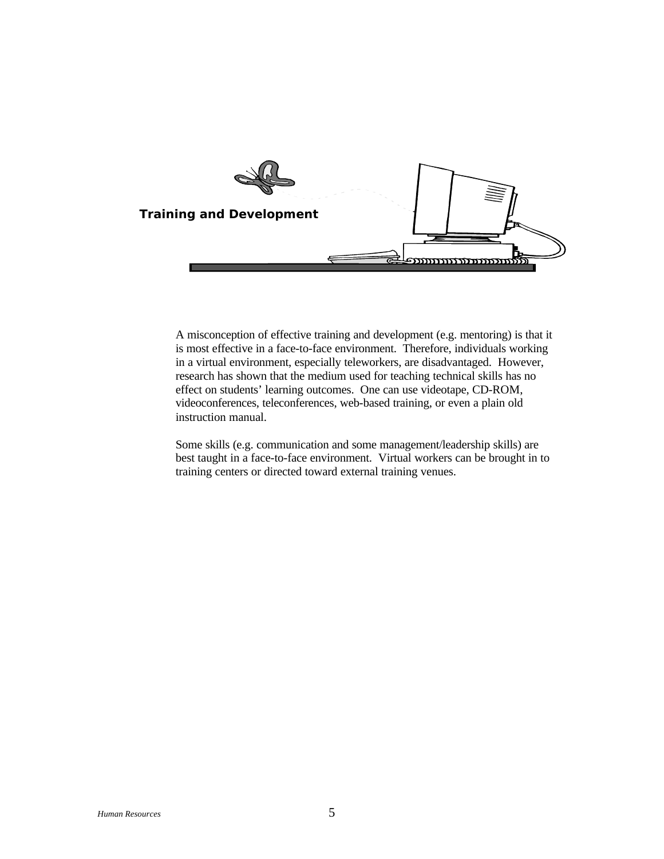

A misconception of effective training and development (e.g. mentoring) is that it is most effective in a face-to-face environment. Therefore, individuals working in a virtual environment, especially teleworkers, are disadvantaged. However, research has shown that the medium used for teaching technical skills has no effect on students' learning outcomes. One can use videotape, CD-ROM, videoconferences, teleconferences, web-based training, or even a plain old instruction manual.

Some skills (e.g. communication and some management/leadership skills) are best taught in a face-to-face environment. Virtual workers can be brought in to training centers or directed toward external training venues.